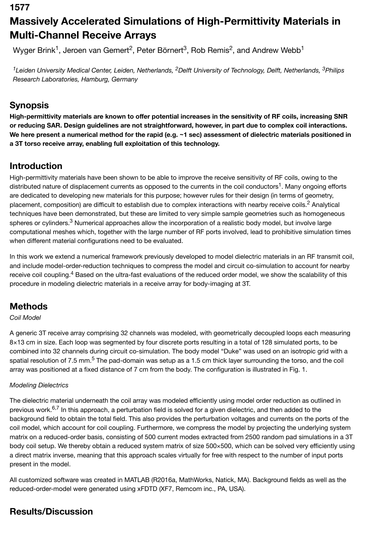**1577**

# **Massively Accelerated Simulations of High-Permittivity Materials in Multi-Channel Receive Arrays**

Wyger Brink<sup>1</sup>, Jeroen van Gemert<sup>2</sup>, Peter Börnert<sup>3</sup>, Rob Remis<sup>2</sup>, and Andrew Webb<sup>1</sup>

<sup>1</sup>Leiden University Medical Center, Leiden, Netherlands, <sup>2</sup>Delft University of Technology, Delft, Netherlands, <sup>3</sup>Philips *Research Laboratories, Hamburg, Germany*

# **Synopsis**

**High-permittivity materials are known to offer potential increases in the sensitivity of RF coils, increasing SNR or reducing SAR. Design guidelines are not straightforward, however, in part due to complex coil interactions. We here present a numerical method for the rapid (e.g. ~1 sec) assessment of dielectric materials positioned in a 3T torso receive array, enabling full exploitation of this technology.**

# **Introduction**

High-permittivity materials have been shown to be able to improve the receive sensitivity of RF coils, owing to the distributed nature of displacement currents as opposed to the currents in the coil conductors<sup>1</sup>. Many ongoing efforts are dedicated to developing new materials for this purpose; however rules for their design (in terms of geometry, placement, composition) are difficult to establish due to complex interactions with nearby receive coils.<sup>2</sup> Analytical techniques have been demonstrated, but these are limited to very simple sample geometries such as homogeneous spheres or cylinders.<sup>3</sup> Numerical approaches allow the incorporation of a realistic body model, but involve large computational meshes which, together with the large number of RF ports involved, lead to prohibitive simulation times when different material configurations need to be evaluated.

In this work we extend a numerical framework previously developed to model dielectric materials in an RF transmit coil, and include model-order-reduction techniques to compress the model and circuit co-simulation to account for nearby receive coil coupling.<sup>4</sup> Based on the ultra-fast evaluations of the reduced order model, we show the scalability of this procedure in modeling dielectric materials in a receive array for body-imaging at 3T.

## **Methods**

#### *Coil Model*

A generic 3T receive array comprising 32 channels was modeled, with geometrically decoupled loops each measuring 8×13 cm in size. Each loop was segmented by four discrete ports resulting in a total of 128 simulated ports, to be combined into 32 channels during circuit co-simulation. The body model "Duke" was used on an isotropic grid with a spatial resolution of 7.5 mm.<sup>5</sup> The pad-domain was setup as a 1.5 cm thick layer surrounding the torso, and the coil array was positioned at a fixed distance of 7 cm from the body. The configuration is illustrated in Fig. 1.

#### *Modeling Dielectrics*

The dielectric material underneath the coil array was modeled efficiently using model order reduction as outlined in previous work.<sup>6,7</sup> In this approach, a perturbation field is solved for a given dielectric, and then added to the background field to obtain the total field. This also provides the perturbation voltages and currents on the ports of the coil model, which account for coil coupling. Furthermore, we compress the model by projecting the underlying system matrix on a reduced-order basis, consisting of 500 current modes extracted from 2500 random pad simulations in a 3T body coil setup. We thereby obtain a reduced system matrix of size 500×500, which can be solved very efficiently using a direct matrix inverse, meaning that this approach scales virtually for free with respect to the number of input ports present in the model.

All customized software was created in MATLAB (R2016a, MathWorks, Natick, MA). Background fields as well as the reduced-order-model were generated using xFDTD (XF7, Remcom inc., PA, USA).

## **Results/Discussion**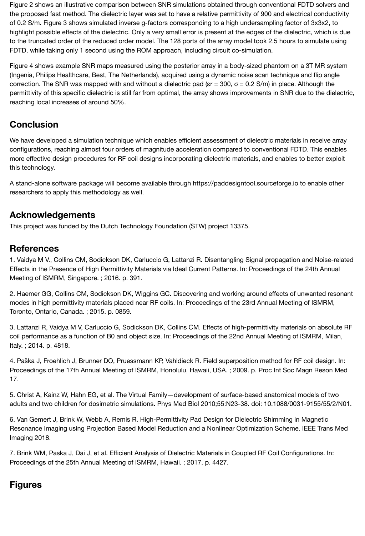of 0.2 S/m. Figure 3 shows simulated inverse g-factors corresponding to a high undersampling factor of 3x3x2, to highlight possible effects of the dielectric. Only a very small error is present at the edges of the dielectric, which is due to the truncated order of the reduced order model. The 128 ports of the array model took 2.5 hours to simulate using FDTD, while taking only 1 second using the ROM approach, including circuit co-simulation.

Figure 4 shows example SNR maps measured using the posterior array in a body-sized phantom on a 3T MR system (Ingenia, Philips Healthcare, Best, The Netherlands), acquired using a dynamic noise scan technique and flip angle correction. The SNR was mapped with and without a dielectric pad (εr = 300,  $σ = 0.2$  S/m) in place. Although the permittivity of this specific dielectric is still far from optimal, the array shows improvements in SNR due to the dielectric, reaching local increases of around 50%.

### **Conclusion**

We have developed a simulation technique which enables efficient assessment of dielectric materials in receive array configurations, reaching almost four orders of magnitude acceleration compared to conventional FDTD. This enables more effective design procedures for RF coil designs incorporating dielectric materials, and enables to better exploit this technology.

A stand-alone software package will become available through https://paddesigntool.sourceforge.io to enable other researchers to apply this methodology as well.

#### **Acknowledgements**

This project was funded by the Dutch Technology Foundation (STW) project 13375.

#### **References**

1. Vaidya M V., Collins CM, Sodickson DK, Carluccio G, Lattanzi R. Disentangling Signal propagation and Noise-related Effects in the Presence of High Permittivity Materials via Ideal Current Patterns. In: Proceedings of the 24th Annual Meeting of ISMRM, Singapore. ; 2016. p. 391.

2. Haemer GG, Collins CM, Sodickson DK, Wiggins GC. Discovering and working around effects of unwanted resonant modes in high permittivity materials placed near RF coils. In: Proceedings of the 23rd Annual Meeting of ISMRM, Toronto, Ontario, Canada. ; 2015. p. 0859.

3. Lattanzi R, Vaidya M V, Carluccio G, Sodickson DK, Collins CM. Effects of high-permittivity materials on absolute RF coil performance as a function of B0 and object size. In: Proceedings of the 22nd Annual Meeting of ISMRM, Milan, Italy. ; 2014. p. 4818.

4. Paška J, Froehlich J, Brunner DO, Pruessmann KP, Vahldieck R. Field superposition method for RF coil design. In: Proceedings of the 17th Annual Meeting of ISMRM, Honolulu, Hawaii, USA. ; 2009. p. Proc Int Soc Magn Reson Med 17.

5. Christ A, Kainz W, Hahn EG, et al. The Virtual Family—development of surface-based anatomical models of two adults and two children for dosimetric simulations. Phys Med Biol 2010;55:N23-38. doi: 10.1088/0031-9155/55/2/N01.

6. Van Gemert J, Brink W, Webb A, Remis R. High-Permittivity Pad Design for Dielectric Shimming in Magnetic Resonance Imaging using Projection Based Model Reduction and a Nonlinear Optimization Scheme. IEEE Trans Med Imaging 2018.

7. Brink WM, Paska J, Dai J, et al. Efficient Analysis of Dielectric Materials in Coupled RF Coil Configurations. In: Proceedings of the 25th Annual Meeting of ISMRM, Hawaii. ; 2017. p. 4427.

#### **Figures**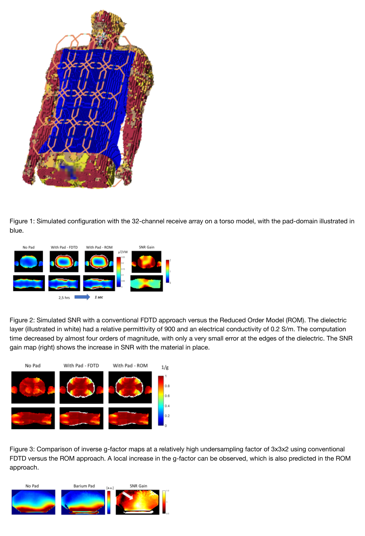

[Figure 1: Simulated configuration with the 32-channel re](https://index.mirasmart.com/ISMRM2019/PDFfiles/images/6325/ISMRM2019-006325_Fig1.png)ceive array on a torso model, with the pad-domain illustrated in blue.



[Figure 2: Simulated SNR with a conventional FDTD appr](https://index.mirasmart.com/ISMRM2019/PDFfiles/images/6325/ISMRM2019-006325_Fig2.png)oach versus the Reduced Order Model (ROM). The dielectric layer (illustrated in white) had a relative permittivity of 900 and an electrical conductivity of 0.2 S/m. The computation time decreased by almost four orders of magnitude, with only a very small error at the edges of the dielectric. The SNR gain map (right) shows the increase in SNR with the material in place.



[Figure 3: Comparison of inverse g-factor maps at a relati](https://index.mirasmart.com/ISMRM2019/PDFfiles/images/6325/ISMRM2019-006325_Fig3.png)vely high undersampling factor of 3x3x2 using conventional FDTD versus the ROM approach. A local increase in the g-factor can be observed, which is also predicted in the ROM approach.